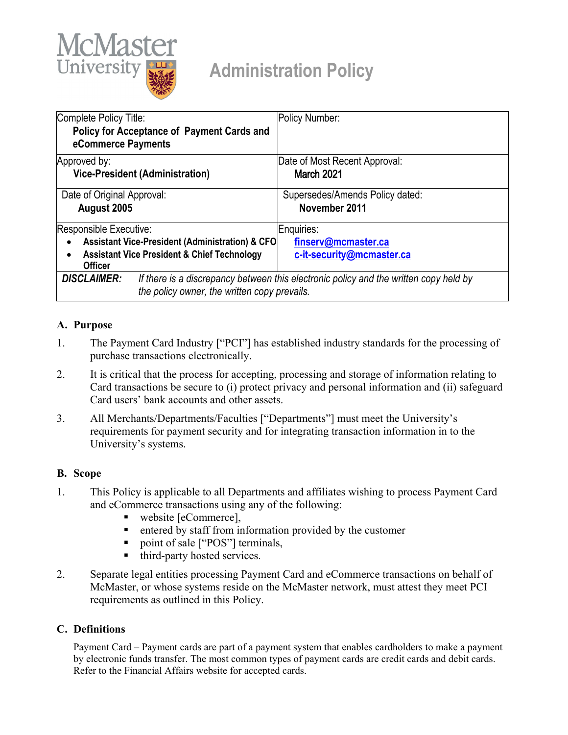

# **Administration Policy**

| Complete Policy Title:<br>Policy for Acceptance of Payment Cards and<br>eCommerce Payments                                                                  | Policy Number:                                   |
|-------------------------------------------------------------------------------------------------------------------------------------------------------------|--------------------------------------------------|
| Approved by:<br><b>Vice-President (Administration)</b>                                                                                                      | Date of Most Recent Approval:<br>March 2021      |
| Date of Original Approval:<br>August 2005                                                                                                                   | Supersedes/Amends Policy dated:<br>November 2011 |
| Responsible Executive:                                                                                                                                      | Enquiries:                                       |
| <b>Assistant Vice-President (Administration) &amp; CFO</b><br><b>Assistant Vice President &amp; Chief Technology</b><br><b>Officer</b>                      | finserv@mcmaster.ca<br>c-it-security@mcmaster.ca |
| <b>DISCLAIMER:</b><br>If there is a discrepancy between this electronic policy and the written copy held by<br>the policy owner, the written copy prevails. |                                                  |

## **A. Purpose**

- 1. The Payment Card Industry ["PCI"] has established industry standards for the processing of purchase transactions electronically.
- 2. It is critical that the process for accepting, processing and storage of information relating to Card transactions be secure to (i) protect privacy and personal information and (ii) safeguard Card users' bank accounts and other assets.
- 3. All Merchants/Departments/Faculties ["Departments"] must meet the University's requirements for payment security and for integrating transaction information in to the University's systems.

#### **B. Scope**

- 1. This Policy is applicable to all Departments and affiliates wishing to process Payment Card and eCommerce transactions using any of the following:
	- website [eCommerce],
	- entered by staff from information provided by the customer
	- point of sale ["POS"] terminals,
	- third-party hosted services.
- 2. Separate legal entities processing Payment Card and eCommerce transactions on behalf of McMaster, or whose systems reside on the McMaster network, must attest they meet PCI requirements as outlined in this Policy.

#### **C. Definitions**

Payment Card – Payment cards are part of a payment system that enables cardholders to make a payment by electronic funds transfer. The most common types of payment cards are credit cards and debit cards. Refer to the Financial Affairs website for accepted cards.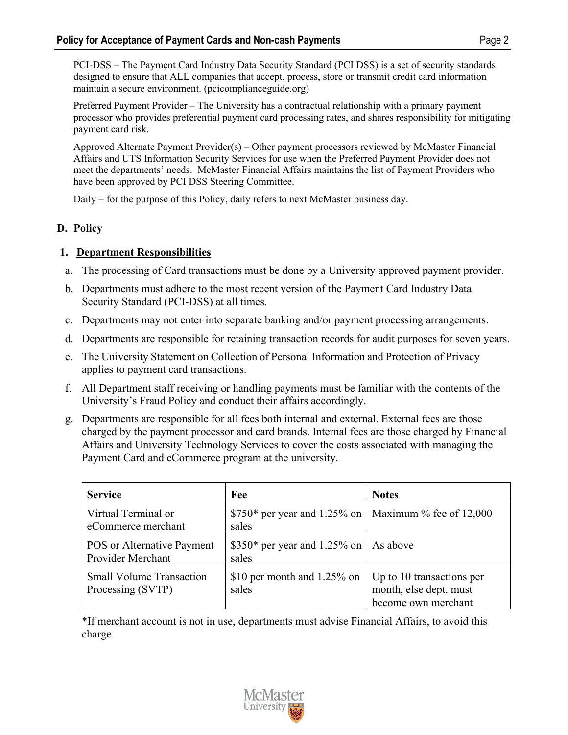PCI-DSS – The Payment Card Industry Data Security Standard (PCI DSS) is a set of security standards designed to ensure that ALL companies that accept, process, store or transmit credit card information maintain a secure environment. (pcicomplianceguide.org)

Preferred Payment Provider – The University has a contractual relationship with a primary payment processor who provides preferential payment card processing rates, and shares responsibility for mitigating payment card risk.

Approved Alternate Payment Provider(s) – Other payment processors reviewed by McMaster Financial Affairs and UTS Information Security Services for use when the Preferred Payment Provider does not meet the departments' needs. McMaster Financial Affairs maintains the list of Payment Providers who have been approved by PCI DSS Steering Committee.

Daily – for the purpose of this Policy, daily refers to next McMaster business day.

## **D. Policy**

## **1. Department Responsibilities**

- a. The processing of Card transactions must be done by a University approved payment provider.
- b. Departments must adhere to the most recent version of the Payment Card Industry Data Security Standard (PCI-DSS) at all times.
- c. Departments may not enter into separate banking and/or payment processing arrangements.
- d. Departments are responsible for retaining transaction records for audit purposes for seven years.
- e. The University Statement on Collection of Personal Information and Protection of Privacy applies to payment card transactions.
- f. All Department staff receiving or handling payments must be familiar with the contents of the University's Fraud Policy and conduct their affairs accordingly.
- g. Departments are responsible for all fees both internal and external. External fees are those charged by the payment processor and card brands. Internal fees are those charged by Financial Affairs and University Technology Services to cover the costs associated with managing the Payment Card and eCommerce program at the university.

| <b>Service</b>                                         | Fee                                                              | <b>Notes</b>                                                               |
|--------------------------------------------------------|------------------------------------------------------------------|----------------------------------------------------------------------------|
| Virtual Terminal or<br>eCommerce merchant              | $$750*$ per year and 1.25% on   Maximum % fee of 12,000<br>sales |                                                                            |
| <b>POS</b> or Alternative Payment<br>Provider Merchant | $$350*$ per year and 1.25% on<br>sales                           | As above                                                                   |
| <b>Small Volume Transaction</b><br>Processing (SVTP)   | \$10 per month and $1.25\%$ on<br>sales                          | Up to 10 transactions per<br>month, else dept. must<br>become own merchant |

\*If merchant account is not in use, departments must advise Financial Affairs, to avoid this charge.

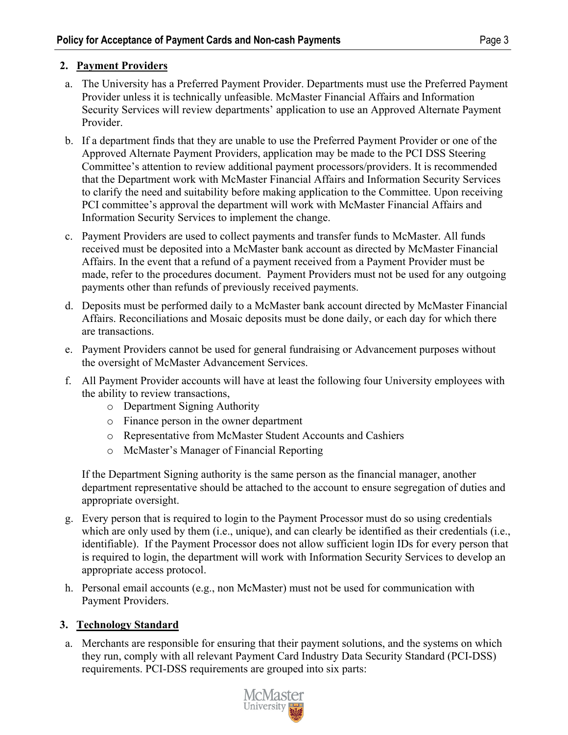#### **2. Payment Providers**

- a. The University has a Preferred Payment Provider. Departments must use the Preferred Payment Provider unless it is technically unfeasible. McMaster Financial Affairs and Information Security Services will review departments' application to use an Approved Alternate Payment Provider.
- b. If a department finds that they are unable to use the Preferred Payment Provider or one of the Approved Alternate Payment Providers, application may be made to the PCI DSS Steering Committee's attention to review additional payment processors/providers. It is recommended that the Department work with McMaster Financial Affairs and Information Security Services to clarify the need and suitability before making application to the Committee. Upon receiving PCI committee's approval the department will work with McMaster Financial Affairs and Information Security Services to implement the change.
- c. Payment Providers are used to collect payments and transfer funds to McMaster. All funds received must be deposited into a McMaster bank account as directed by McMaster Financial Affairs. In the event that a refund of a payment received from a Payment Provider must be made, refer to the procedures document. Payment Providers must not be used for any outgoing payments other than refunds of previously received payments.
- d. Deposits must be performed daily to a McMaster bank account directed by McMaster Financial Affairs. Reconciliations and Mosaic deposits must be done daily, or each day for which there are transactions.
- e. Payment Providers cannot be used for general fundraising or Advancement purposes without the oversight of McMaster Advancement Services.
- f. All Payment Provider accounts will have at least the following four University employees with the ability to review transactions,
	- o Department Signing Authority
	- o Finance person in the owner department
	- o Representative from McMaster Student Accounts and Cashiers
	- o McMaster's Manager of Financial Reporting

If the Department Signing authority is the same person as the financial manager, another department representative should be attached to the account to ensure segregation of duties and appropriate oversight.

- g. Every person that is required to login to the Payment Processor must do so using credentials which are only used by them (i.e., unique), and can clearly be identified as their credentials (i.e., identifiable). If the Payment Processor does not allow sufficient login IDs for every person that is required to login, the department will work with Information Security Services to develop an appropriate access protocol.
- h. Personal email accounts (e.g., non McMaster) must not be used for communication with Payment Providers.

# **3. Technology Standard**

a. Merchants are responsible for ensuring that their payment solutions, and the systems on which they run, comply with all relevant Payment Card Industry Data Security Standard (PCI-DSS) requirements. PCI-DSS requirements are grouped into six parts:

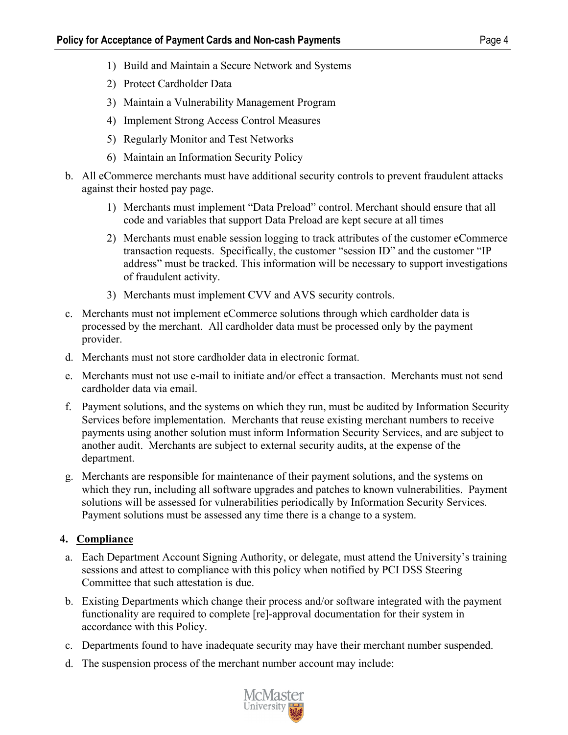- 1) Build and Maintain a Secure Network and Systems
- 2) Protect Cardholder Data
- 3) Maintain a Vulnerability Management Program
- 4) Implement Strong Access Control Measures
- 5) Regularly Monitor and Test Networks
- 6) Maintain an Information Security Policy
- b. All eCommerce merchants must have additional security controls to prevent fraudulent attacks against their hosted pay page.
	- 1) Merchants must implement "Data Preload" control. Merchant should ensure that all code and variables that support Data Preload are kept secure at all times
	- 2) Merchants must enable session logging to track attributes of the customer eCommerce transaction requests. Specifically, the customer "session ID" and the customer "IP address" must be tracked. This information will be necessary to support investigations of fraudulent activity.
	- 3) Merchants must implement CVV and AVS security controls.
- c. Merchants must not implement eCommerce solutions through which cardholder data is processed by the merchant. All cardholder data must be processed only by the payment provider.
- d. Merchants must not store cardholder data in electronic format.
- e. Merchants must not use e-mail to initiate and/or effect a transaction. Merchants must not send cardholder data via email.
- f. Payment solutions, and the systems on which they run, must be audited by Information Security Services before implementation. Merchants that reuse existing merchant numbers to receive payments using another solution must inform Information Security Services, and are subject to another audit. Merchants are subject to external security audits, at the expense of the department.
- g. Merchants are responsible for maintenance of their payment solutions, and the systems on which they run, including all software upgrades and patches to known vulnerabilities. Payment solutions will be assessed for vulnerabilities periodically by Information Security Services. Payment solutions must be assessed any time there is a change to a system.

# **4. Compliance**

- a. Each Department Account Signing Authority, or delegate, must attend the University's training sessions and attest to compliance with this policy when notified by PCI DSS Steering Committee that such attestation is due.
- b. Existing Departments which change their process and/or software integrated with the payment functionality are required to complete [re]-approval documentation for their system in accordance with this Policy.
- c. Departments found to have inadequate security may have their merchant number suspended.
- d. The suspension process of the merchant number account may include: